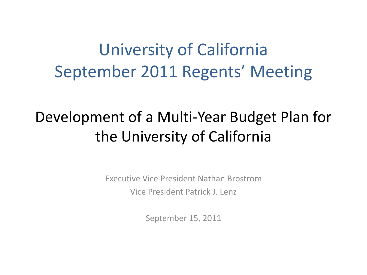## University of California September 2011 Regents' Meeting

#### Development of a Multi-Year Budget Plan for the University of California

Executive Vice President Nathan Brostrom Vice President Patrick J. Lenz

September 15, 2011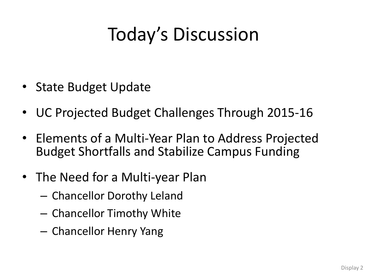## Today's Discussion

- State Budget Update
- UC Projected Budget Challenges Through 2015-16
- Elements of a Multi-Year Plan to Address Projected Budget Shortfalls and Stabilize Campus Funding
- The Need for a Multi-year Plan
	- Chancellor Dorothy Leland
	- Chancellor Timothy White
	- Chancellor Henry Yang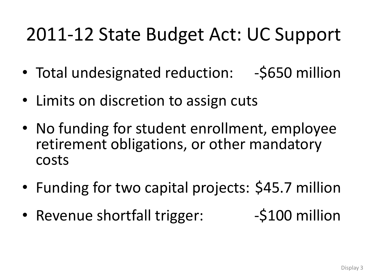## 2011-12 State Budget Act: UC Support

- Total undesignated reduction: -\$650 million
- Limits on discretion to assign cuts
- No funding for student enrollment, employee retirement obligations, or other mandatory costs
- Funding for two capital projects: \$45.7 million
- Revenue shortfall trigger: 5100 million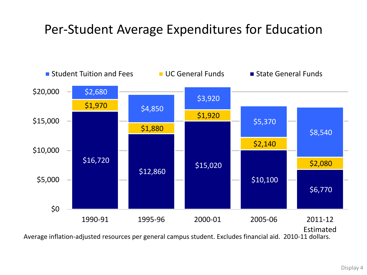#### Per-Student Average Expenditures for Education



Average inflation-adjusted resources per general campus student. Excludes financial aid. 2010-11 dollars.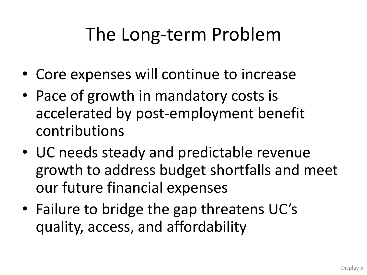# The Long-term Problem

- Core expenses will continue to increase
- Pace of growth in mandatory costs is accelerated by post-employment benefit contributions
- UC needs steady and predictable revenue growth to address budget shortfalls and meet our future financial expenses
- Failure to bridge the gap threatens UC's quality, access, and affordability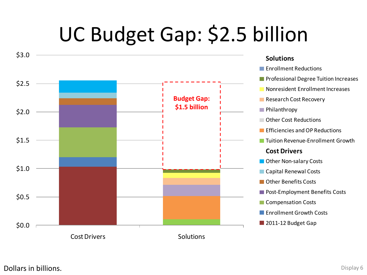# UC Budget Gap: \$2.5 billion

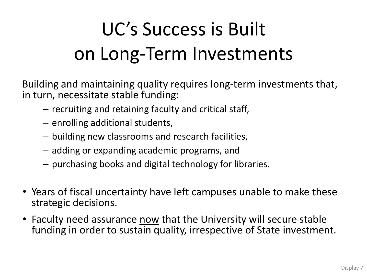# UC's Success is Built on Long-Term Investments

Building and maintaining quality requires long-term investments that, in turn, necessitate stable funding:

- recruiting and retaining faculty and critical staff,
- enrolling additional students,
- building new classrooms and research facilities,
- adding or expanding academic programs, and
- purchasing books and digital technology for libraries.
- Years of fiscal uncertainty have left campuses unable to make these strategic decisions.
- Faculty need assurance now that the University will secure stable funding in order to sustain quality, irrespective of State investment.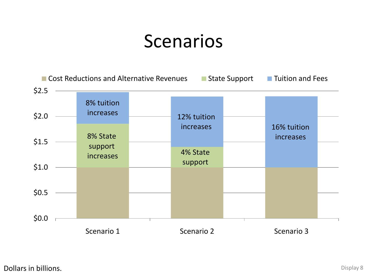## Scenarios

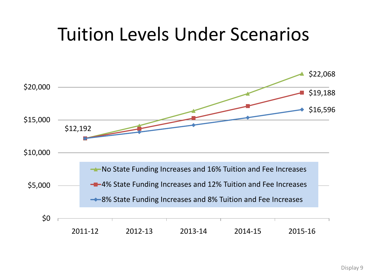## Tuition Levels Under Scenarios